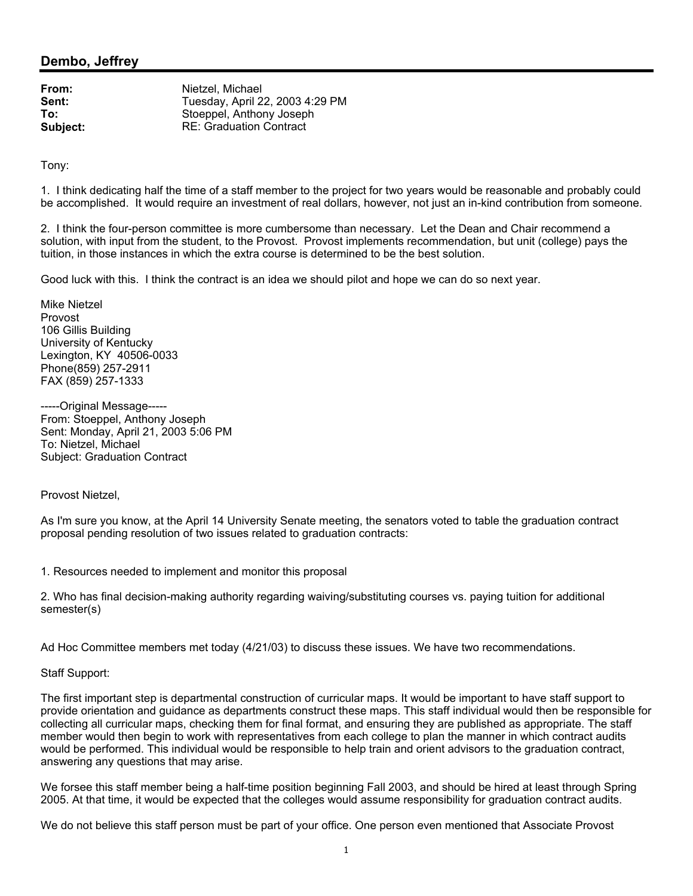## **Dembo, Jeffrey**

From: Nietzel, Michael **Sent:** Tuesday, April 22, 2003 4:29 PM **To:** Stoeppel, Anthony Joseph **Subject:** RE: Graduation Contract

Tony:

1. I think dedicating half the time of a staff member to the project for two years would be reasonable and probably could be accomplished. It would require an investment of real dollars, however, not just an in-kind contribution from someone.

2. I think the four-person committee is more cumbersome than necessary. Let the Dean and Chair recommend a solution, with input from the student, to the Provost. Provost implements recommendation, but unit (college) pays the tuition, in those instances in which the extra course is determined to be the best solution.

Good luck with this. I think the contract is an idea we should pilot and hope we can do so next year.

Mike Nietzel Provost 106 Gillis Building University of Kentucky Lexington, KY 40506-0033 Phone(859) 257-2911 FAX (859) 257-1333

-----Original Message----- From: Stoeppel, Anthony Joseph Sent: Monday, April 21, 2003 5:06 PM To: Nietzel, Michael Subject: Graduation Contract

Provost Nietzel,

As I'm sure you know, at the April 14 University Senate meeting, the senators voted to table the graduation contract proposal pending resolution of two issues related to graduation contracts:

1. Resources needed to implement and monitor this proposal

2. Who has final decision-making authority regarding waiving/substituting courses vs. paying tuition for additional semester(s)

Ad Hoc Committee members met today (4/21/03) to discuss these issues. We have two recommendations.

Staff Support:

The first important step is departmental construction of curricular maps. It would be important to have staff support to provide orientation and guidance as departments construct these maps. This staff individual would then be responsible for collecting all curricular maps, checking them for final format, and ensuring they are published as appropriate. The staff member would then begin to work with representatives from each college to plan the manner in which contract audits would be performed. This individual would be responsible to help train and orient advisors to the graduation contract, answering any questions that may arise.

We forsee this staff member being a half-time position beginning Fall 2003, and should be hired at least through Spring 2005. At that time, it would be expected that the colleges would assume responsibility for graduation contract audits.

We do not believe this staff person must be part of your office. One person even mentioned that Associate Provost